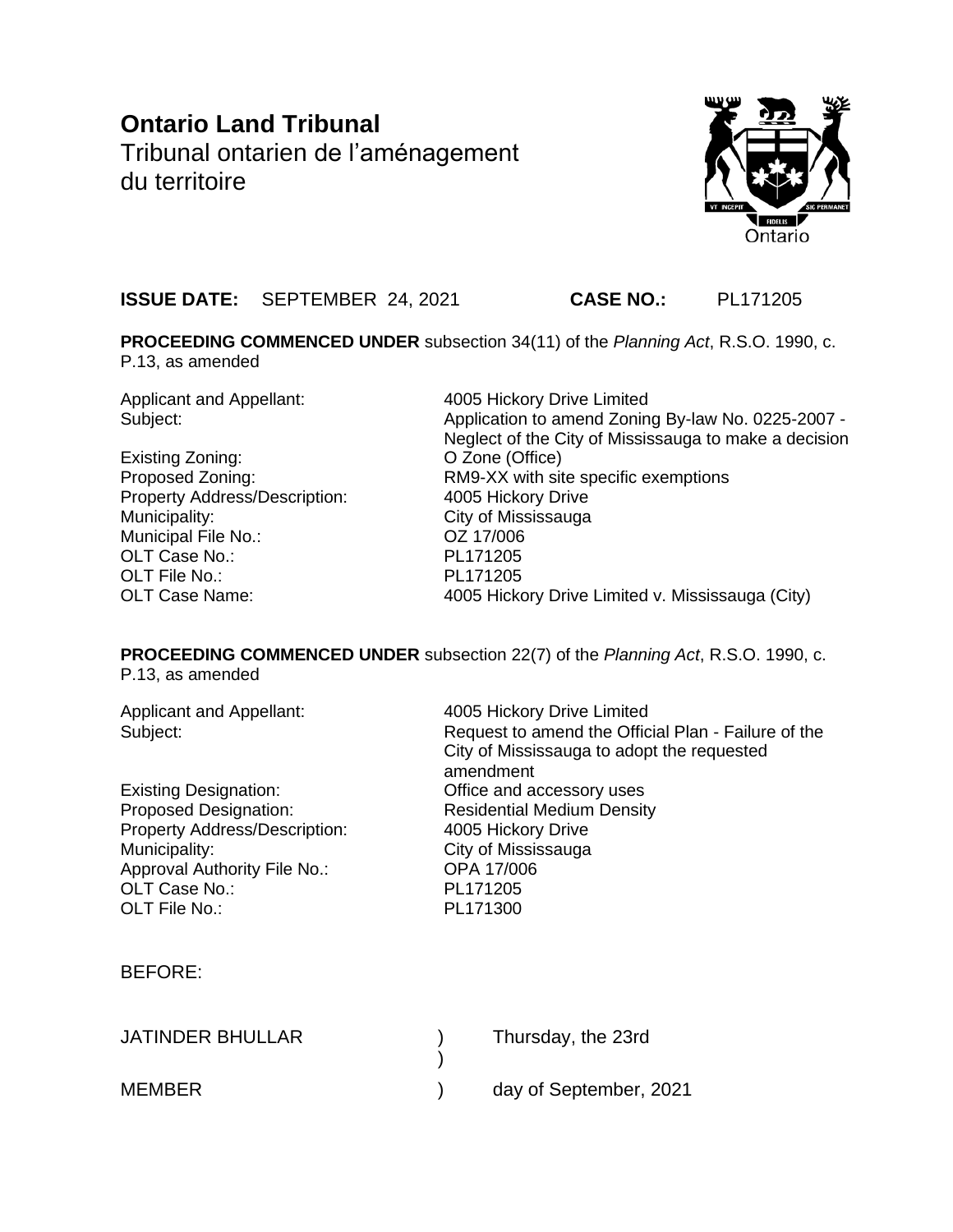# **Ontario Land Tribunal** Tribunal ontarien de l'aménagement du territoire



## **ISSUE DATE:** SEPTEMBER 24, 2021 **CASE NO.:** PL171205

**PROCEEDING COMMENCED UNDER** subsection 34(11) of the *Planning Act*, R.S.O. 1990, c. P.13, as amended

Applicant and Appellant: 4005 Hickory Drive Limited

Existing Zoning: O Zone (Office) Property Address/Description: 4005 Hickory Drive Municipality: City of Mississauga Municipal File No.: OZ 17/006 OLT Case No.: PL171205 OLT File No.: PL171205

Subject: Subject: Application to amend Zoning By-law No. 0225-2007 -Neglect of the City of Mississauga to make a decision Proposed Zoning: RM9-XX with site specific exemptions OLT Case Name: 4005 Hickory Drive Limited v. Mississauga (City)

**PROCEEDING COMMENCED UNDER** subsection 22(7) of the *Planning Act*, R.S.O. 1990, c. P.13, as amended

| Applicant and Appellant:<br>Subject:                                                                                                                                             | 4005 Hickory Drive Limited<br>Request to amend the Official Plan - Failure of the<br>City of Mississauga to adopt the requested<br>amendment<br>Office and accessory uses<br><b>Residential Medium Density</b><br>4005 Hickory Drive<br>City of Mississauga<br>OPA 17/006<br>PL171205<br>PL171300 |                        |
|----------------------------------------------------------------------------------------------------------------------------------------------------------------------------------|---------------------------------------------------------------------------------------------------------------------------------------------------------------------------------------------------------------------------------------------------------------------------------------------------|------------------------|
| <b>Existing Designation:</b><br><b>Proposed Designation:</b><br>Property Address/Description:<br>Municipality:<br>Approval Authority File No.:<br>OLT Case No.:<br>OLT File No.: |                                                                                                                                                                                                                                                                                                   |                        |
| <b>BEFORE:</b>                                                                                                                                                                   |                                                                                                                                                                                                                                                                                                   |                        |
| <b>JATINDER BHULLAR</b>                                                                                                                                                          |                                                                                                                                                                                                                                                                                                   | Thursday, the 23rd     |
| <b>MEMBER</b>                                                                                                                                                                    |                                                                                                                                                                                                                                                                                                   | day of September, 2021 |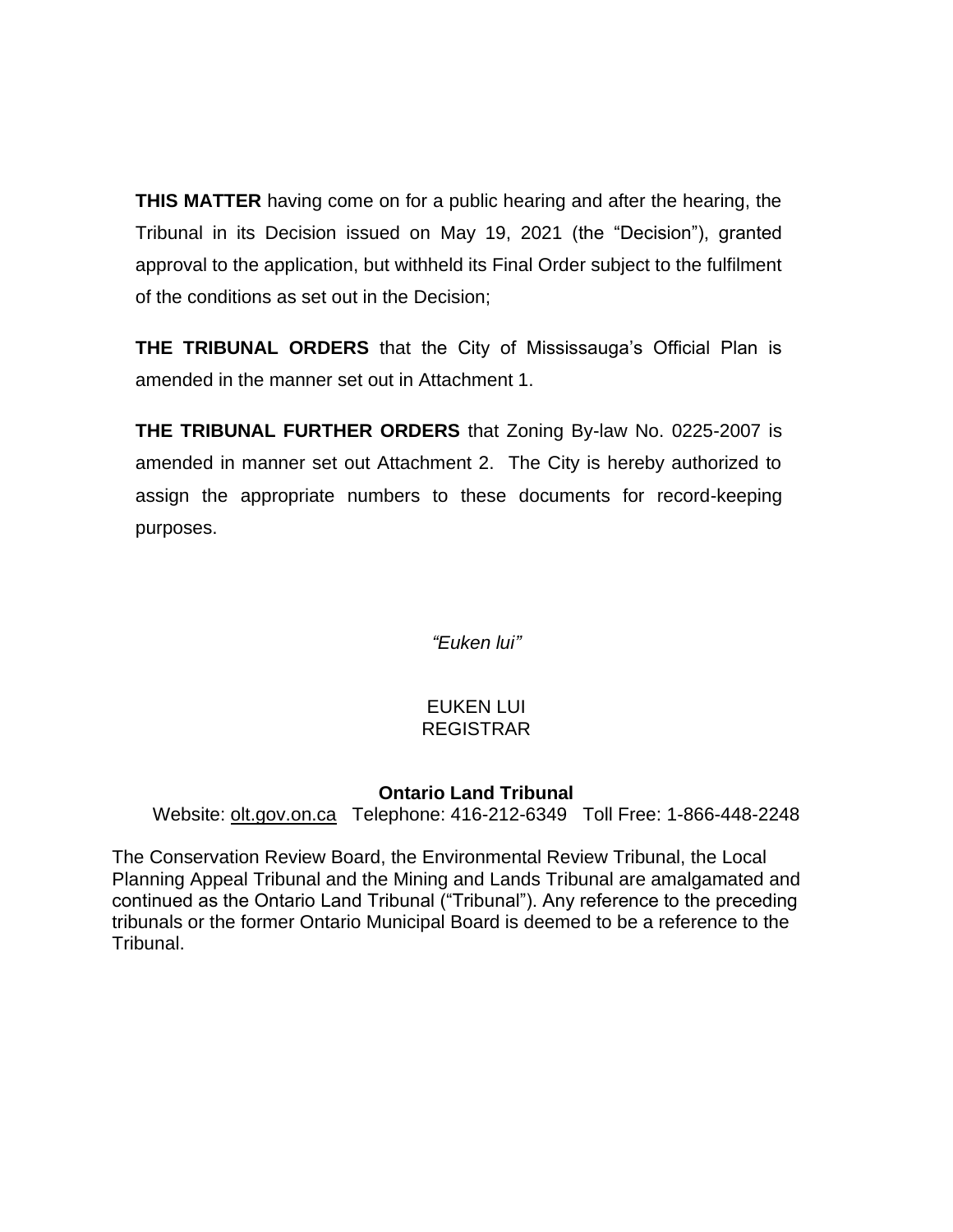**THIS MATTER** having come on for a public hearing and after the hearing, the Tribunal in its Decision issued on May 19, 2021 (the "Decision"), granted approval to the application, but withheld its Final Order subject to the fulfilment of the conditions as set out in the Decision;

**THE TRIBUNAL ORDERS** that the City of Mississauga's Official Plan is amended in the manner set out in Attachment 1.

**THE TRIBUNAL FURTHER ORDERS** that Zoning By-law No. 0225-2007 is amended in manner set out Attachment 2. The City is hereby authorized to assign the appropriate numbers to these documents for record-keeping purposes.

*"Euken lui"*

### EUKEN LUI REGISTRAR

### **Ontario Land Tribunal**

Website: [olt.gov.on.ca](http://www.olt.gov.on.ca/) Telephone: 416-212-6349 Toll Free: 1-866-448-2248

The Conservation Review Board, the Environmental Review Tribunal, the Local Planning Appeal Tribunal and the Mining and Lands Tribunal are amalgamated and continued as the Ontario Land Tribunal ("Tribunal"). Any reference to the preceding tribunals or the former Ontario Municipal Board is deemed to be a reference to the Tribunal.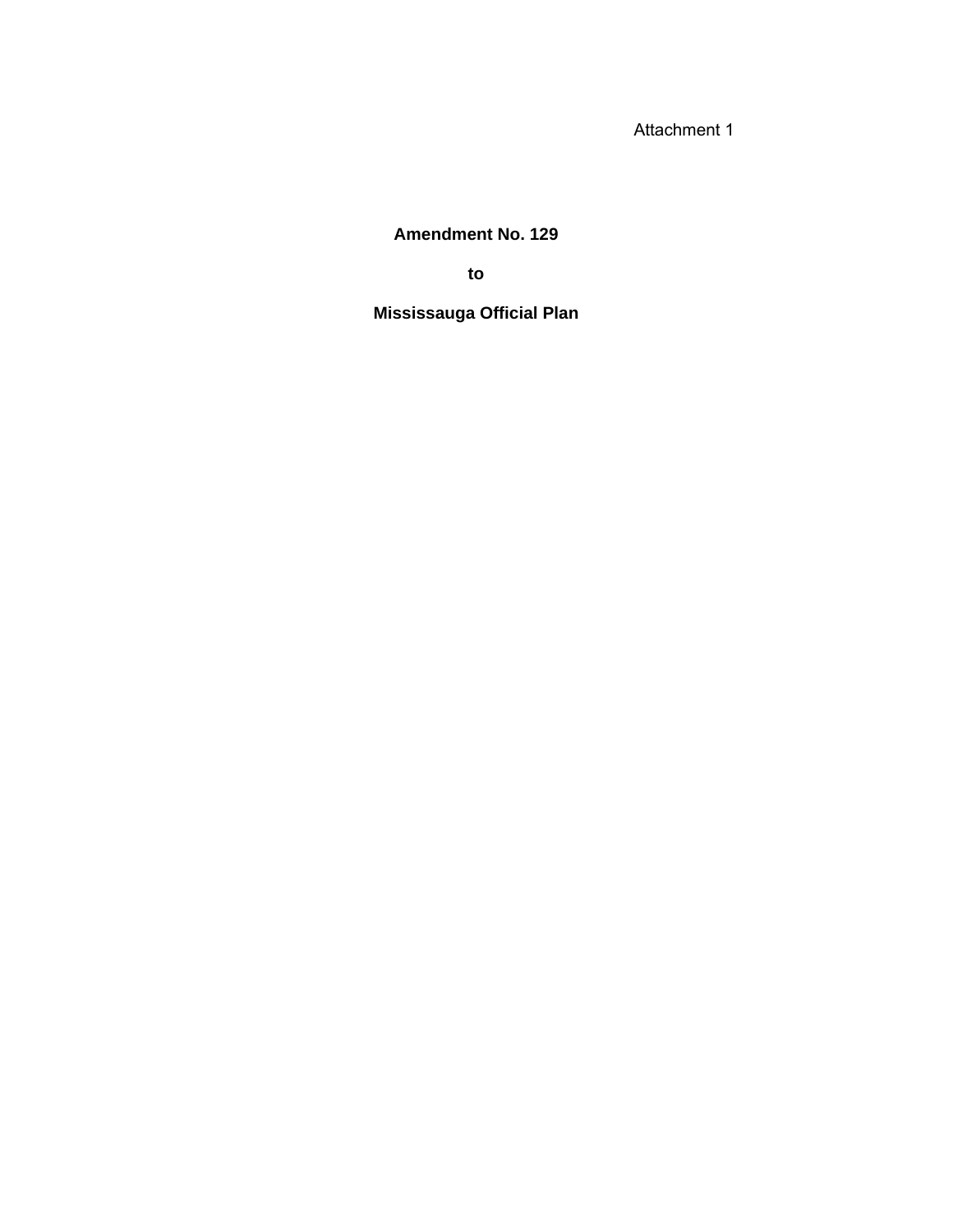Attachment 1

## **Amendment No. 129**

**to**

## **Mississauga Official Plan**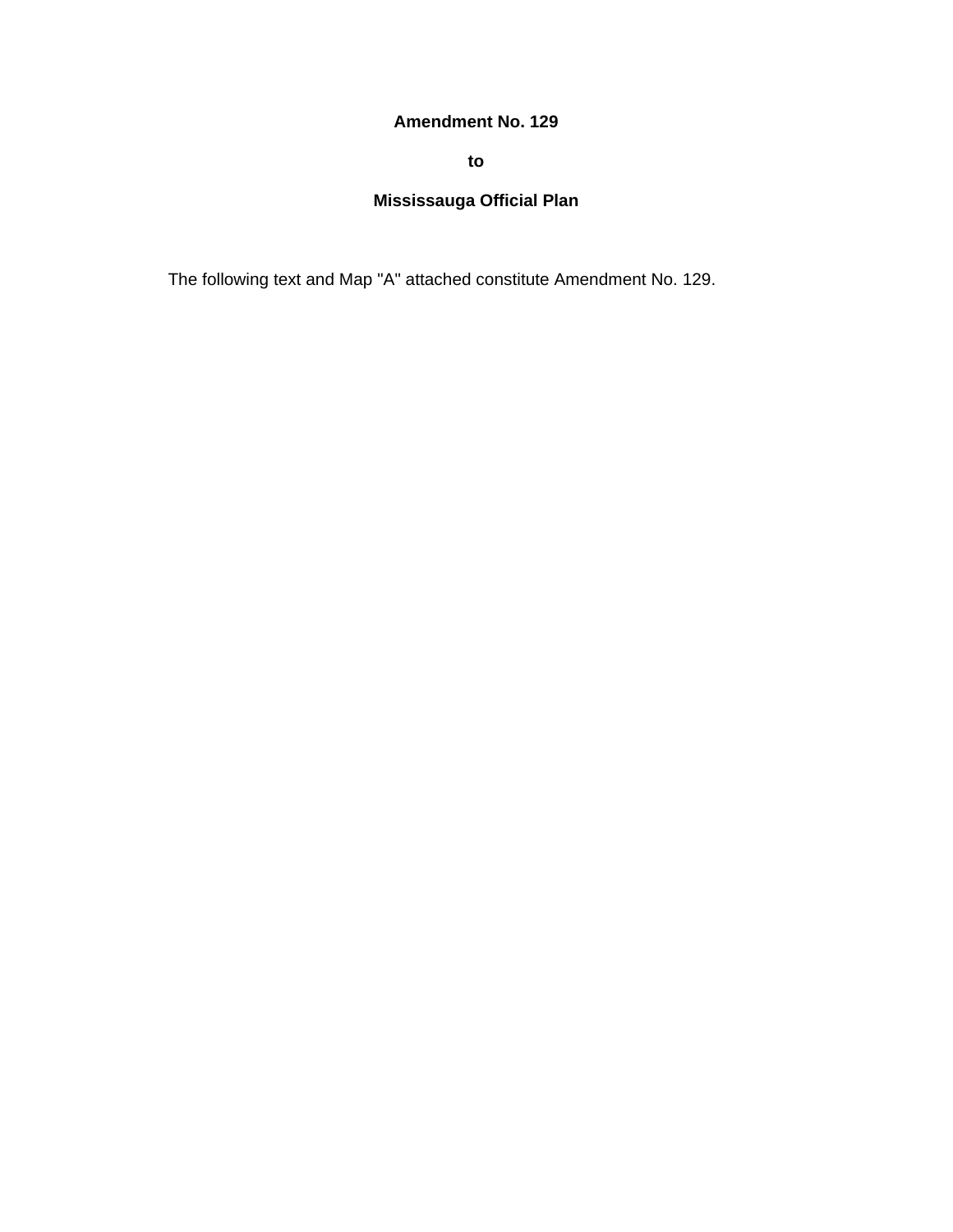### **Amendment No. 129**

**to**

## **Mississauga Official Plan**

The following text and Map "A" attached constitute Amendment No. 129.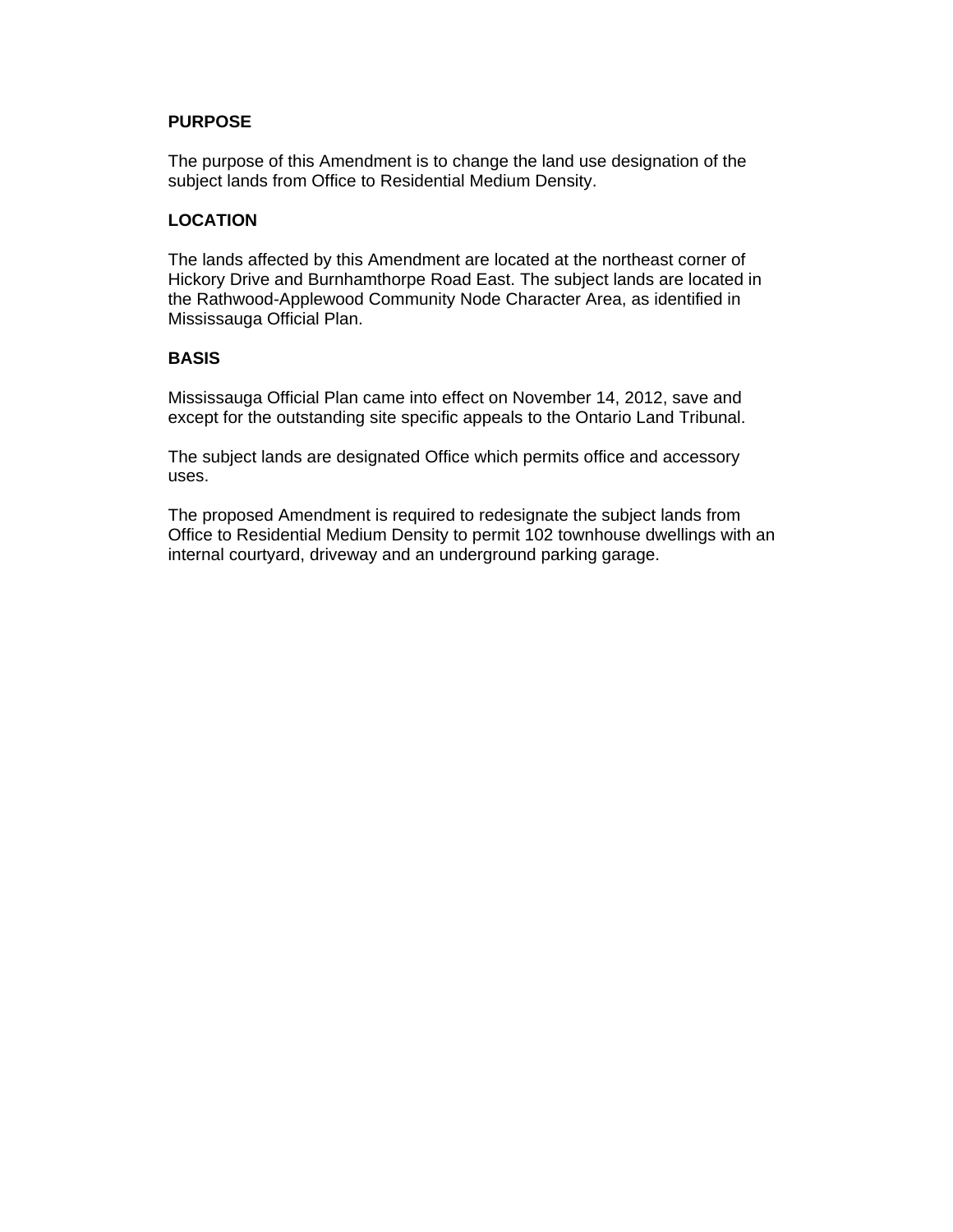#### **PURPOSE**

The purpose of this Amendment is to change the land use designation of the subject lands from Office to Residential Medium Density.

### **LOCATION**

The lands affected by this Amendment are located at the northeast corner of Hickory Drive and Burnhamthorpe Road East. The subject lands are located in the Rathwood-Applewood Community Node Character Area, as identified in Mississauga Official Plan.

### **BASIS**

Mississauga Official Plan came into effect on November 14, 2012, save and except for the outstanding site specific appeals to the Ontario Land Tribunal.

The subject lands are designated Office which permits office and accessory uses.

The proposed Amendment is required to redesignate the subject lands from Office to Residential Medium Density to permit 102 townhouse dwellings with an internal courtyard, driveway and an underground parking garage.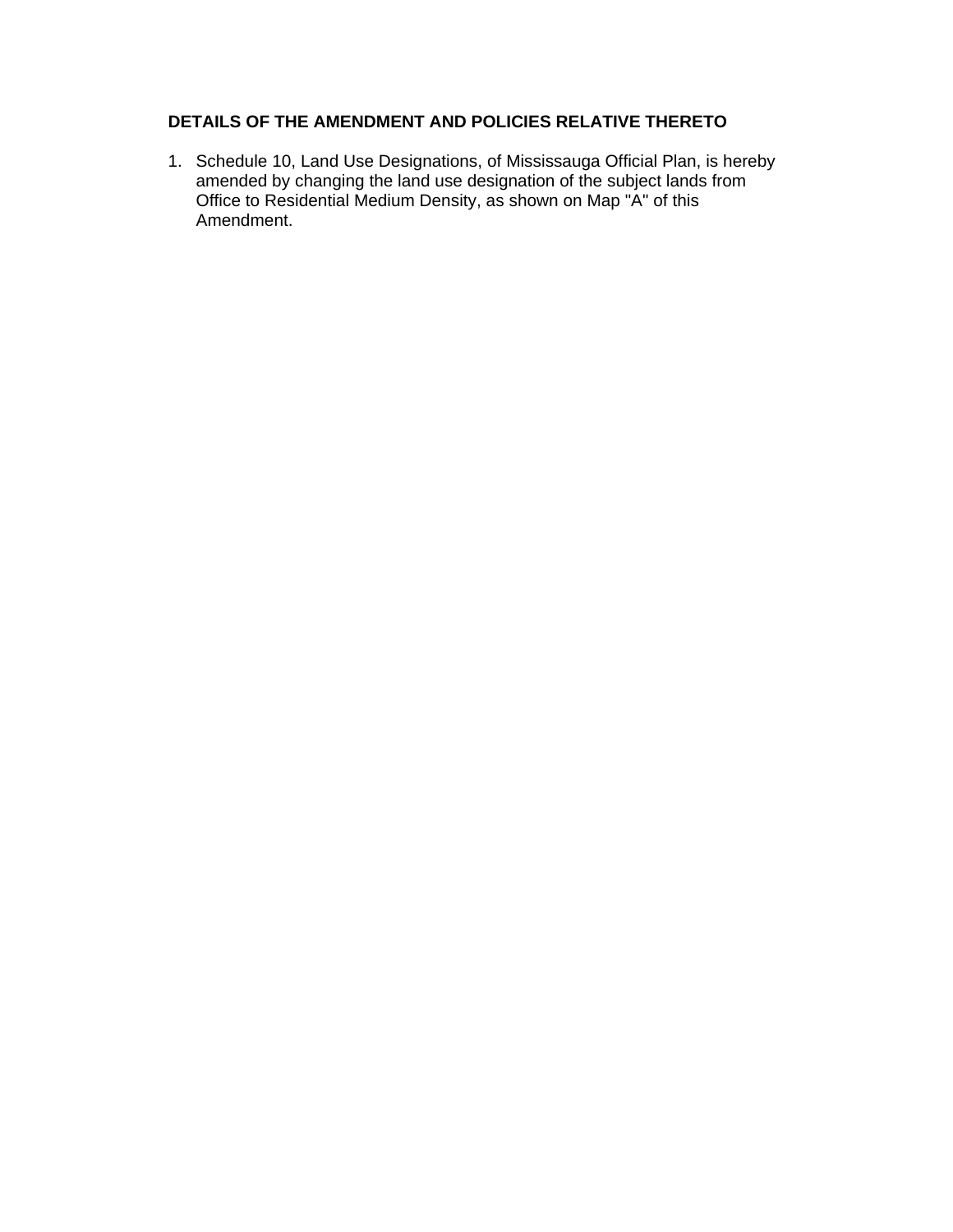### **DETAILS OF THE AMENDMENT AND POLICIES RELATIVE THERETO**

1. Schedule 10, Land Use Designations, of Mississauga Official Plan, is hereby amended by changing the land use designation of the subject lands from Office to Residential Medium Density, as shown on Map "A" of this Amendment.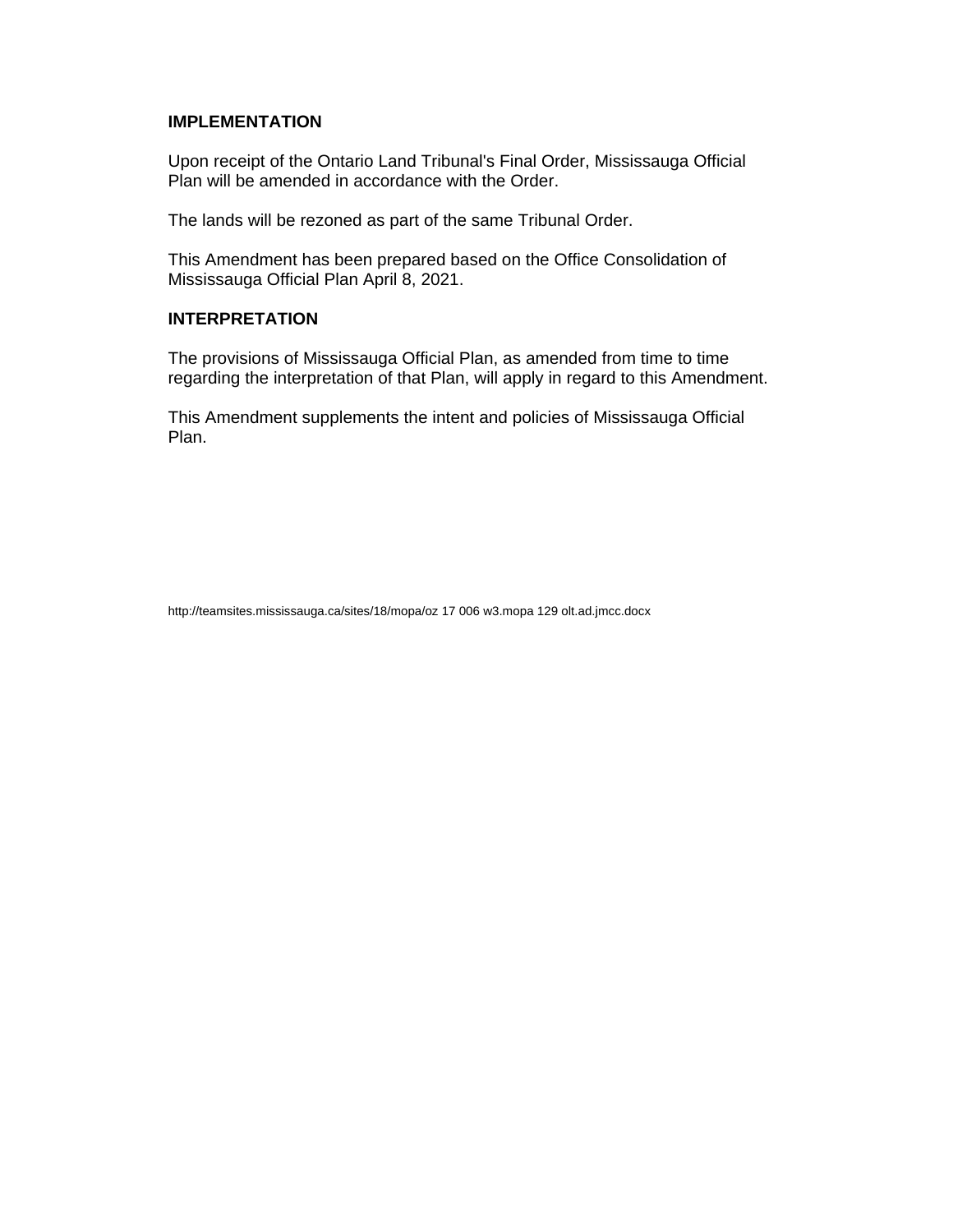### **IMPLEMENTATION**

Upon receipt of the Ontario Land Tribunal's Final Order, Mississauga Official Plan will be amended in accordance with the Order.

The lands will be rezoned as part of the same Tribunal Order.

This Amendment has been prepared based on the Office Consolidation of Mississauga Official Plan April 8, 2021.

### **INTERPRETATION**

The provisions of Mississauga Official Plan, as amended from time to time regarding the interpretation of that Plan, will apply in regard to this Amendment.

This Amendment supplements the intent and policies of Mississauga Official Plan.

http://teamsites.mississauga.ca/sites/18/mopa/oz 17 006 w3.mopa 129 olt.ad.jmcc.docx